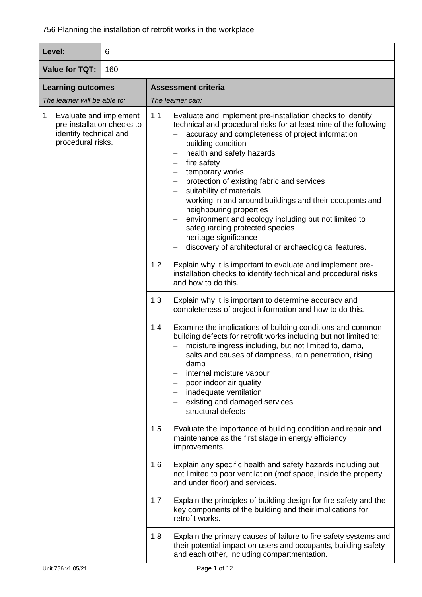| Level:                                                                                                   | 6   |                                                                                                                                                                                                                                                                                                                                                                                                                                                                                                                                                                                                                               |  |
|----------------------------------------------------------------------------------------------------------|-----|-------------------------------------------------------------------------------------------------------------------------------------------------------------------------------------------------------------------------------------------------------------------------------------------------------------------------------------------------------------------------------------------------------------------------------------------------------------------------------------------------------------------------------------------------------------------------------------------------------------------------------|--|
| <b>Value for TQT:</b>                                                                                    | 160 |                                                                                                                                                                                                                                                                                                                                                                                                                                                                                                                                                                                                                               |  |
| <b>Learning outcomes</b>                                                                                 |     | <b>Assessment criteria</b>                                                                                                                                                                                                                                                                                                                                                                                                                                                                                                                                                                                                    |  |
| The learner will be able to:                                                                             |     | The learner can:                                                                                                                                                                                                                                                                                                                                                                                                                                                                                                                                                                                                              |  |
| Evaluate and implement<br>1<br>pre-installation checks to<br>identify technical and<br>procedural risks. |     | 1.1<br>Evaluate and implement pre-installation checks to identify<br>technical and procedural risks for at least nine of the following:<br>accuracy and completeness of project information<br>building condition<br>health and safety hazards<br>fire safety<br>temporary works<br>protection of existing fabric and services<br>suitability of materials<br>working in and around buildings and their occupants and<br>neighbouring properties<br>environment and ecology including but not limited to<br>safeguarding protected species<br>heritage significance<br>discovery of architectural or archaeological features. |  |
|                                                                                                          |     | 1.2<br>Explain why it is important to evaluate and implement pre-<br>installation checks to identify technical and procedural risks<br>and how to do this.                                                                                                                                                                                                                                                                                                                                                                                                                                                                    |  |
|                                                                                                          |     | 1.3<br>Explain why it is important to determine accuracy and<br>completeness of project information and how to do this.                                                                                                                                                                                                                                                                                                                                                                                                                                                                                                       |  |
|                                                                                                          |     | 1.4<br>Examine the implications of building conditions and common<br>building defects for retrofit works including but not limited to:<br>moisture ingress including, but not limited to, damp,<br>salts and causes of dampness, rain penetration, rising<br>damp<br>internal moisture vapour<br>poor indoor air quality<br>inadequate ventilation<br>existing and damaged services<br>structural defects                                                                                                                                                                                                                     |  |
|                                                                                                          |     | 1.5<br>Evaluate the importance of building condition and repair and<br>maintenance as the first stage in energy efficiency<br>improvements.                                                                                                                                                                                                                                                                                                                                                                                                                                                                                   |  |
|                                                                                                          |     | 1.6<br>Explain any specific health and safety hazards including but<br>not limited to poor ventilation (roof space, inside the property<br>and under floor) and services.                                                                                                                                                                                                                                                                                                                                                                                                                                                     |  |
|                                                                                                          |     | Explain the principles of building design for fire safety and the<br>1.7<br>key components of the building and their implications for<br>retrofit works.                                                                                                                                                                                                                                                                                                                                                                                                                                                                      |  |
|                                                                                                          |     | Explain the primary causes of failure to fire safety systems and<br>1.8<br>their potential impact on users and occupants, building safety<br>and each other, including compartmentation.                                                                                                                                                                                                                                                                                                                                                                                                                                      |  |
| Unit 756 v1 05/21                                                                                        |     | Page 1 of 12                                                                                                                                                                                                                                                                                                                                                                                                                                                                                                                                                                                                                  |  |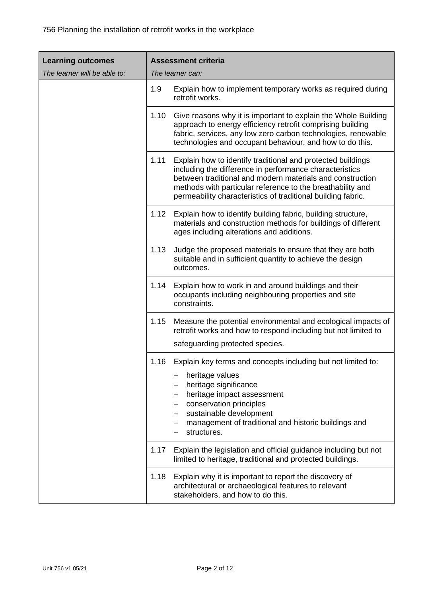| <b>Learning outcomes</b>     | <b>Assessment criteria</b> |                                                                                                                                                                                                                                                                                                                   |
|------------------------------|----------------------------|-------------------------------------------------------------------------------------------------------------------------------------------------------------------------------------------------------------------------------------------------------------------------------------------------------------------|
| The learner will be able to: |                            | The learner can:                                                                                                                                                                                                                                                                                                  |
|                              | 1.9                        | Explain how to implement temporary works as required during<br>retrofit works.                                                                                                                                                                                                                                    |
|                              | 1.10                       | Give reasons why it is important to explain the Whole Building<br>approach to energy efficiency retrofit comprising building<br>fabric, services, any low zero carbon technologies, renewable<br>technologies and occupant behaviour, and how to do this.                                                         |
|                              | 1.11                       | Explain how to identify traditional and protected buildings<br>including the difference in performance characteristics<br>between traditional and modern materials and construction<br>methods with particular reference to the breathability and<br>permeability characteristics of traditional building fabric. |
|                              | 1.12                       | Explain how to identify building fabric, building structure,<br>materials and construction methods for buildings of different<br>ages including alterations and additions.                                                                                                                                        |
|                              | 1.13                       | Judge the proposed materials to ensure that they are both<br>suitable and in sufficient quantity to achieve the design<br>outcomes.                                                                                                                                                                               |
|                              | 1.14                       | Explain how to work in and around buildings and their<br>occupants including neighbouring properties and site<br>constraints.                                                                                                                                                                                     |
|                              | 1.15                       | Measure the potential environmental and ecological impacts of<br>retrofit works and how to respond including but not limited to                                                                                                                                                                                   |
|                              |                            | safeguarding protected species.                                                                                                                                                                                                                                                                                   |
|                              | 1.16                       | Explain key terms and concepts including but not limited to:                                                                                                                                                                                                                                                      |
|                              |                            | heritage values<br>heritage significance<br>heritage impact assessment<br>conservation principles<br>sustainable development<br>management of traditional and historic buildings and<br>structures.                                                                                                               |
|                              | 1.17                       | Explain the legislation and official guidance including but not<br>limited to heritage, traditional and protected buildings.                                                                                                                                                                                      |
|                              | 1.18                       | Explain why it is important to report the discovery of<br>architectural or archaeological features to relevant<br>stakeholders, and how to do this.                                                                                                                                                               |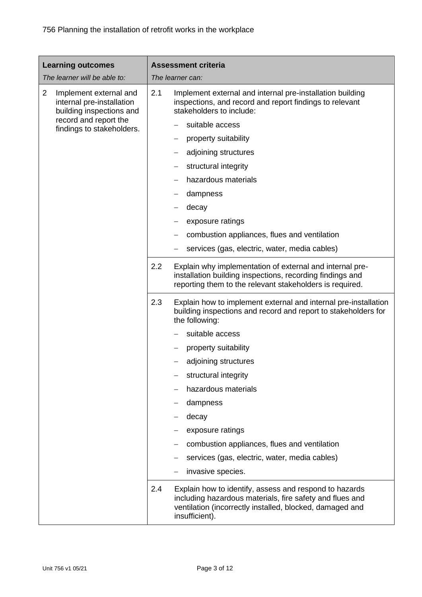| <b>Learning outcomes</b><br>The learner will be able to:                                                                                                |     | <b>Assessment criteria</b><br>The learner can:                                                                                                                                                   |
|---------------------------------------------------------------------------------------------------------------------------------------------------------|-----|--------------------------------------------------------------------------------------------------------------------------------------------------------------------------------------------------|
| $\overline{2}$<br>Implement external and<br>internal pre-installation<br>building inspections and<br>record and report the<br>findings to stakeholders. | 2.1 | Implement external and internal pre-installation building<br>inspections, and record and report findings to relevant<br>stakeholders to include:                                                 |
|                                                                                                                                                         |     | suitable access                                                                                                                                                                                  |
|                                                                                                                                                         |     | property suitability                                                                                                                                                                             |
|                                                                                                                                                         |     | adjoining structures                                                                                                                                                                             |
|                                                                                                                                                         |     | structural integrity                                                                                                                                                                             |
|                                                                                                                                                         |     | hazardous materials                                                                                                                                                                              |
|                                                                                                                                                         |     | dampness                                                                                                                                                                                         |
|                                                                                                                                                         |     | decay                                                                                                                                                                                            |
|                                                                                                                                                         |     | exposure ratings                                                                                                                                                                                 |
|                                                                                                                                                         |     | combustion appliances, flues and ventilation                                                                                                                                                     |
|                                                                                                                                                         |     | services (gas, electric, water, media cables)                                                                                                                                                    |
|                                                                                                                                                         | 2.2 | Explain why implementation of external and internal pre-<br>installation building inspections, recording findings and<br>reporting them to the relevant stakeholders is required.                |
|                                                                                                                                                         | 2.3 | Explain how to implement external and internal pre-installation<br>building inspections and record and report to stakeholders for<br>the following:                                              |
|                                                                                                                                                         |     | suitable access                                                                                                                                                                                  |
|                                                                                                                                                         |     | property suitability                                                                                                                                                                             |
|                                                                                                                                                         |     | adjoining structures                                                                                                                                                                             |
|                                                                                                                                                         |     | structural integrity                                                                                                                                                                             |
|                                                                                                                                                         |     | hazardous materials                                                                                                                                                                              |
|                                                                                                                                                         |     | dampness                                                                                                                                                                                         |
|                                                                                                                                                         |     | decay                                                                                                                                                                                            |
|                                                                                                                                                         |     | exposure ratings                                                                                                                                                                                 |
|                                                                                                                                                         |     | combustion appliances, flues and ventilation                                                                                                                                                     |
|                                                                                                                                                         |     | services (gas, electric, water, media cables)                                                                                                                                                    |
|                                                                                                                                                         |     | invasive species.                                                                                                                                                                                |
|                                                                                                                                                         | 2.4 | Explain how to identify, assess and respond to hazards<br>including hazardous materials, fire safety and flues and<br>ventilation (incorrectly installed, blocked, damaged and<br>insufficient). |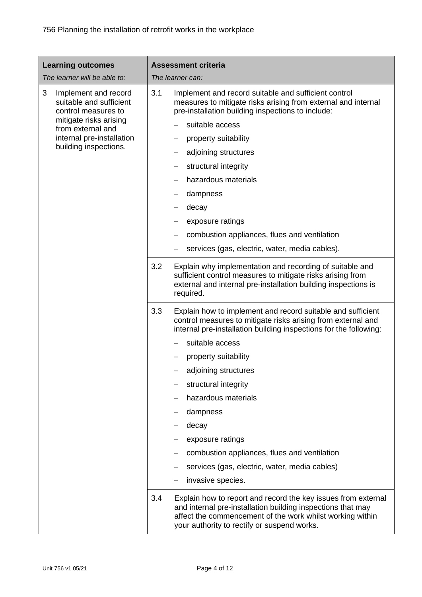| <b>Learning outcomes</b>                                                                                                                                | <b>Assessment criteria</b>                                                                                                                                                                                                                      |
|---------------------------------------------------------------------------------------------------------------------------------------------------------|-------------------------------------------------------------------------------------------------------------------------------------------------------------------------------------------------------------------------------------------------|
| The learner will be able to:                                                                                                                            | The learner can:                                                                                                                                                                                                                                |
| 3<br>Implement and record<br>suitable and sufficient<br>control measures to<br>mitigate risks arising<br>from external and<br>internal pre-installation | 3.1<br>Implement and record suitable and sufficient control<br>measures to mitigate risks arising from external and internal<br>pre-installation building inspections to include:                                                               |
|                                                                                                                                                         | suitable access                                                                                                                                                                                                                                 |
|                                                                                                                                                         | property suitability                                                                                                                                                                                                                            |
| building inspections.                                                                                                                                   | adjoining structures                                                                                                                                                                                                                            |
|                                                                                                                                                         | structural integrity                                                                                                                                                                                                                            |
|                                                                                                                                                         | hazardous materials                                                                                                                                                                                                                             |
|                                                                                                                                                         | dampness                                                                                                                                                                                                                                        |
|                                                                                                                                                         | decay                                                                                                                                                                                                                                           |
|                                                                                                                                                         | exposure ratings                                                                                                                                                                                                                                |
|                                                                                                                                                         | combustion appliances, flues and ventilation                                                                                                                                                                                                    |
|                                                                                                                                                         | services (gas, electric, water, media cables).                                                                                                                                                                                                  |
|                                                                                                                                                         | 3.2<br>Explain why implementation and recording of suitable and<br>sufficient control measures to mitigate risks arising from<br>external and internal pre-installation building inspections is<br>required.                                    |
|                                                                                                                                                         | 3.3<br>Explain how to implement and record suitable and sufficient<br>control measures to mitigate risks arising from external and<br>internal pre-installation building inspections for the following:                                         |
|                                                                                                                                                         | suitable access                                                                                                                                                                                                                                 |
|                                                                                                                                                         | property suitability                                                                                                                                                                                                                            |
|                                                                                                                                                         | adjoining structures                                                                                                                                                                                                                            |
|                                                                                                                                                         | structural integrity                                                                                                                                                                                                                            |
|                                                                                                                                                         | hazardous materials                                                                                                                                                                                                                             |
|                                                                                                                                                         | dampness                                                                                                                                                                                                                                        |
|                                                                                                                                                         | decay                                                                                                                                                                                                                                           |
|                                                                                                                                                         | exposure ratings                                                                                                                                                                                                                                |
|                                                                                                                                                         | combustion appliances, flues and ventilation                                                                                                                                                                                                    |
|                                                                                                                                                         | services (gas, electric, water, media cables)                                                                                                                                                                                                   |
|                                                                                                                                                         | invasive species.                                                                                                                                                                                                                               |
|                                                                                                                                                         | Explain how to report and record the key issues from external<br>3.4<br>and internal pre-installation building inspections that may<br>affect the commencement of the work whilst working within<br>your authority to rectify or suspend works. |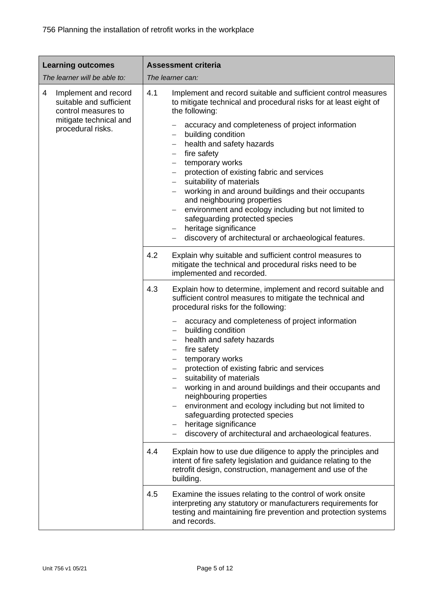| <b>Learning outcomes</b>                                                                                                   | <b>Assessment criteria</b>                                                                                                                                                                                                                                                                                                                                                                                                                                                          |
|----------------------------------------------------------------------------------------------------------------------------|-------------------------------------------------------------------------------------------------------------------------------------------------------------------------------------------------------------------------------------------------------------------------------------------------------------------------------------------------------------------------------------------------------------------------------------------------------------------------------------|
| The learner will be able to:                                                                                               | The learner can:                                                                                                                                                                                                                                                                                                                                                                                                                                                                    |
| 4<br>Implement and record<br>suitable and sufficient<br>control measures to<br>mitigate technical and<br>procedural risks. | 4.1<br>Implement and record suitable and sufficient control measures<br>to mitigate technical and procedural risks for at least eight of<br>the following:                                                                                                                                                                                                                                                                                                                          |
|                                                                                                                            | accuracy and completeness of project information<br>building condition<br>health and safety hazards<br>fire safety<br>$\overline{\phantom{0}}$<br>temporary works<br>protection of existing fabric and services<br>suitability of materials<br>working in and around buildings and their occupants<br>$\overline{\phantom{m}}$<br>and neighbouring properties<br>environment and ecology including but not limited to<br>safeguarding protected species<br>heritage significance    |
|                                                                                                                            | discovery of architectural or archaeological features.                                                                                                                                                                                                                                                                                                                                                                                                                              |
|                                                                                                                            | 4.2<br>Explain why suitable and sufficient control measures to<br>mitigate the technical and procedural risks need to be<br>implemented and recorded.                                                                                                                                                                                                                                                                                                                               |
|                                                                                                                            | 4.3<br>Explain how to determine, implement and record suitable and<br>sufficient control measures to mitigate the technical and<br>procedural risks for the following:                                                                                                                                                                                                                                                                                                              |
|                                                                                                                            | accuracy and completeness of project information<br>building condition<br>health and safety hazards<br>fire safety<br>temporary works<br>protection of existing fabric and services<br>suitability of materials<br>working in and around buildings and their occupants and<br>neighbouring properties<br>environment and ecology including but not limited to<br>safeguarding protected species<br>heritage significance<br>discovery of architectural and archaeological features. |
|                                                                                                                            | Explain how to use due diligence to apply the principles and<br>4.4<br>intent of fire safety legislation and guidance relating to the<br>retrofit design, construction, management and use of the<br>building.                                                                                                                                                                                                                                                                      |
|                                                                                                                            | 4.5<br>Examine the issues relating to the control of work onsite<br>interpreting any statutory or manufacturers requirements for<br>testing and maintaining fire prevention and protection systems<br>and records.                                                                                                                                                                                                                                                                  |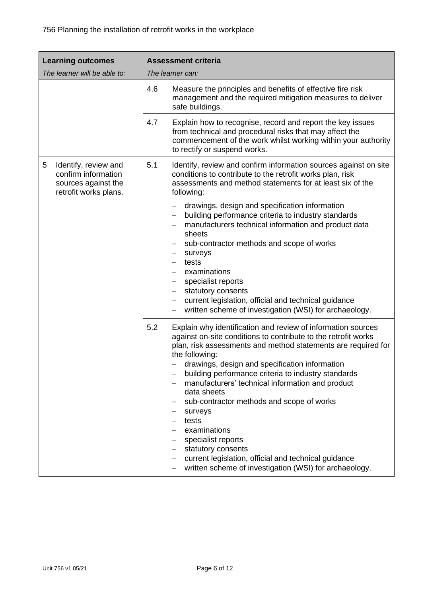| <b>Learning outcomes</b>                                                                         | <b>Assessment criteria</b>                                                                                                                                                                                                                                                                                                                                                                                                                                                                                                                                                                                                                               |  |  |
|--------------------------------------------------------------------------------------------------|----------------------------------------------------------------------------------------------------------------------------------------------------------------------------------------------------------------------------------------------------------------------------------------------------------------------------------------------------------------------------------------------------------------------------------------------------------------------------------------------------------------------------------------------------------------------------------------------------------------------------------------------------------|--|--|
| The learner will be able to:                                                                     | The learner can:                                                                                                                                                                                                                                                                                                                                                                                                                                                                                                                                                                                                                                         |  |  |
|                                                                                                  | 4.6<br>Measure the principles and benefits of effective fire risk<br>management and the required mitigation measures to deliver<br>safe buildings.                                                                                                                                                                                                                                                                                                                                                                                                                                                                                                       |  |  |
|                                                                                                  | 4.7<br>Explain how to recognise, record and report the key issues<br>from technical and procedural risks that may affect the<br>commencement of the work whilst working within your authority<br>to rectify or suspend works.                                                                                                                                                                                                                                                                                                                                                                                                                            |  |  |
| 5<br>Identify, review and<br>confirm information<br>sources against the<br>retrofit works plans. | 5.1<br>Identify, review and confirm information sources against on site<br>conditions to contribute to the retrofit works plan, risk<br>assessments and method statements for at least six of the<br>following:                                                                                                                                                                                                                                                                                                                                                                                                                                          |  |  |
|                                                                                                  | drawings, design and specification information<br>building performance criteria to industry standards<br>manufacturers technical information and product data<br>sheets<br>sub-contractor methods and scope of works<br>surveys<br>—<br>tests<br>examinations<br>specialist reports<br>statutory consents<br>current legislation, official and technical guidance                                                                                                                                                                                                                                                                                        |  |  |
|                                                                                                  | written scheme of investigation (WSI) for archaeology.                                                                                                                                                                                                                                                                                                                                                                                                                                                                                                                                                                                                   |  |  |
|                                                                                                  | 5.2<br>Explain why identification and review of information sources<br>against on-site conditions to contribute to the retrofit works<br>plan, risk assessments and method statements are required for<br>the following:<br>drawings, design and specification information<br>building performance criteria to industry standards<br>manufacturers' technical information and product<br>data sheets<br>sub-contractor methods and scope of works<br>surveys<br>tests<br>examinations<br>specialist reports<br>statutory consents<br>current legislation, official and technical guidance<br>written scheme of investigation (WSI) for archaeology.<br>— |  |  |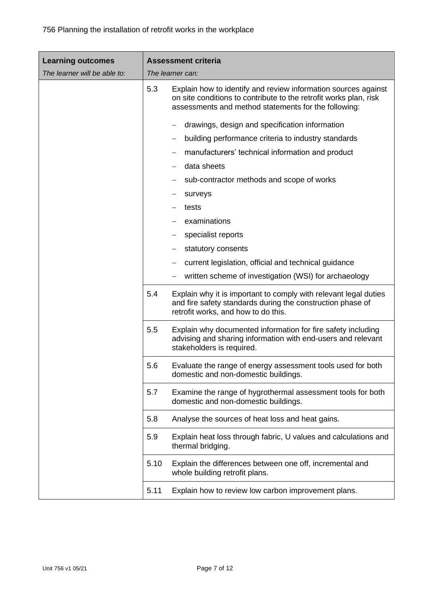| <b>Learning outcomes</b>     |      | <b>Assessment criteria</b>                                                                                                                                                                  |
|------------------------------|------|---------------------------------------------------------------------------------------------------------------------------------------------------------------------------------------------|
| The learner will be able to: |      | The learner can:                                                                                                                                                                            |
|                              | 5.3  | Explain how to identify and review information sources against<br>on site conditions to contribute to the retrofit works plan, risk<br>assessments and method statements for the following: |
|                              |      | drawings, design and specification information                                                                                                                                              |
|                              |      | building performance criteria to industry standards                                                                                                                                         |
|                              |      | manufacturers' technical information and product                                                                                                                                            |
|                              |      | data sheets                                                                                                                                                                                 |
|                              |      | sub-contractor methods and scope of works                                                                                                                                                   |
|                              |      | surveys                                                                                                                                                                                     |
|                              |      | tests                                                                                                                                                                                       |
|                              |      | examinations                                                                                                                                                                                |
|                              |      | specialist reports                                                                                                                                                                          |
|                              |      | statutory consents                                                                                                                                                                          |
|                              |      | current legislation, official and technical guidance                                                                                                                                        |
|                              |      | written scheme of investigation (WSI) for archaeology                                                                                                                                       |
|                              | 5.4  | Explain why it is important to comply with relevant legal duties<br>and fire safety standards during the construction phase of<br>retrofit works, and how to do this.                       |
|                              | 5.5  | Explain why documented information for fire safety including<br>advising and sharing information with end-users and relevant<br>stakeholders is required.                                   |
|                              | 5.6  | Evaluate the range of energy assessment tools used for both<br>domestic and non-domestic buildings.                                                                                         |
|                              | 5.7  | Examine the range of hygrothermal assessment tools for both<br>domestic and non-domestic buildings.                                                                                         |
|                              | 5.8  | Analyse the sources of heat loss and heat gains.                                                                                                                                            |
|                              | 5.9  | Explain heat loss through fabric, U values and calculations and<br>thermal bridging.                                                                                                        |
|                              | 5.10 | Explain the differences between one off, incremental and<br>whole building retrofit plans.                                                                                                  |
|                              | 5.11 | Explain how to review low carbon improvement plans.                                                                                                                                         |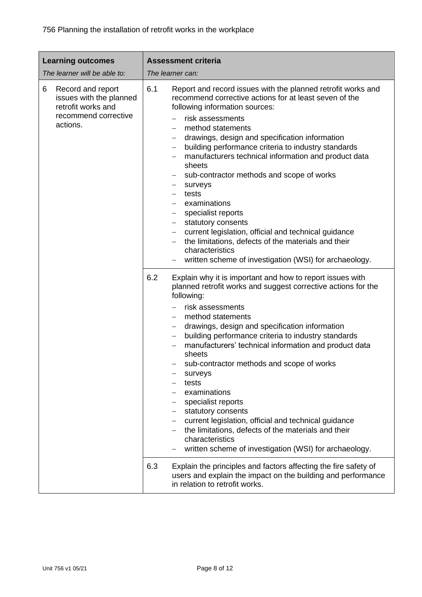| <b>Learning outcomes</b><br>The learner will be able to:                                                    | <b>Assessment criteria</b><br>The learner can:                                                                                                                                                                                                                                                                                                                                                                                                                                                                                                                                                                                                                                                                                                         |
|-------------------------------------------------------------------------------------------------------------|--------------------------------------------------------------------------------------------------------------------------------------------------------------------------------------------------------------------------------------------------------------------------------------------------------------------------------------------------------------------------------------------------------------------------------------------------------------------------------------------------------------------------------------------------------------------------------------------------------------------------------------------------------------------------------------------------------------------------------------------------------|
| 6<br>Record and report<br>issues with the planned<br>retrofit works and<br>recommend corrective<br>actions. | 6.1<br>Report and record issues with the planned retrofit works and<br>recommend corrective actions for at least seven of the<br>following information sources:<br>risk assessments<br>method statements<br>drawings, design and specification information<br>building performance criteria to industry standards<br>manufacturers technical information and product data<br>sheets<br>sub-contractor methods and scope of works<br>surveys<br>$\qquad \qquad -$<br>tests<br>examinations<br>specialist reports<br>statutory consents<br>current legislation, official and technical guidance<br>the limitations, defects of the materials and their<br>$\qquad \qquad -$<br>characteristics<br>written scheme of investigation (WSI) for archaeology. |
|                                                                                                             | 6.2<br>Explain why it is important and how to report issues with<br>planned retrofit works and suggest corrective actions for the<br>following:<br>risk assessments<br>method statements<br>drawings, design and specification information<br>building performance criteria to industry standards<br>manufacturers' technical information and product data<br>sheets<br>sub-contractor methods and scope of works<br>surveys<br>tests<br>examinations<br>specialist reports<br>statutory consents<br>current legislation, official and technical guidance<br>the limitations, defects of the materials and their<br>characteristics<br>written scheme of investigation (WSI) for archaeology.                                                          |
|                                                                                                             | 6.3<br>Explain the principles and factors affecting the fire safety of<br>users and explain the impact on the building and performance<br>in relation to retrofit works.                                                                                                                                                                                                                                                                                                                                                                                                                                                                                                                                                                               |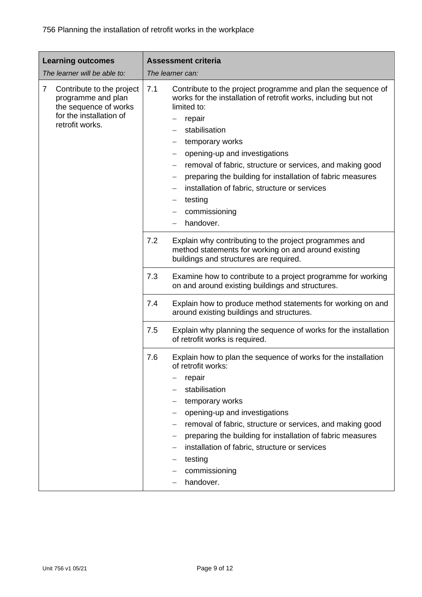| <b>Learning outcomes</b>                                                                                                                 | <b>Assessment criteria</b>                                                                                                                                                                                                                                                                                                                                                                                                                                |
|------------------------------------------------------------------------------------------------------------------------------------------|-----------------------------------------------------------------------------------------------------------------------------------------------------------------------------------------------------------------------------------------------------------------------------------------------------------------------------------------------------------------------------------------------------------------------------------------------------------|
| The learner will be able to:                                                                                                             | The learner can:                                                                                                                                                                                                                                                                                                                                                                                                                                          |
| $\overline{7}$<br>Contribute to the project<br>programme and plan<br>the sequence of works<br>for the installation of<br>retrofit works. | 7.1<br>Contribute to the project programme and plan the sequence of<br>works for the installation of retrofit works, including but not<br>limited to:<br>repair<br>stabilisation<br>temporary works<br>opening-up and investigations<br>removal of fabric, structure or services, and making good<br>preparing the building for installation of fabric measures<br>installation of fabric, structure or services<br>testing<br>commissioning<br>handover. |
|                                                                                                                                          | 7.2<br>Explain why contributing to the project programmes and<br>method statements for working on and around existing<br>buildings and structures are required.                                                                                                                                                                                                                                                                                           |
|                                                                                                                                          | 7.3<br>Examine how to contribute to a project programme for working<br>on and around existing buildings and structures.                                                                                                                                                                                                                                                                                                                                   |
|                                                                                                                                          | Explain how to produce method statements for working on and<br>7.4<br>around existing buildings and structures.                                                                                                                                                                                                                                                                                                                                           |
|                                                                                                                                          | 7.5<br>Explain why planning the sequence of works for the installation<br>of retrofit works is required.                                                                                                                                                                                                                                                                                                                                                  |
|                                                                                                                                          | 7.6<br>Explain how to plan the sequence of works for the installation<br>of retrofit works:<br>repair<br>stabilisation<br>temporary works<br>opening-up and investigations<br>removal of fabric, structure or services, and making good<br>preparing the building for installation of fabric measures<br>installation of fabric, structure or services<br>testing<br>commissioning<br>handover.                                                           |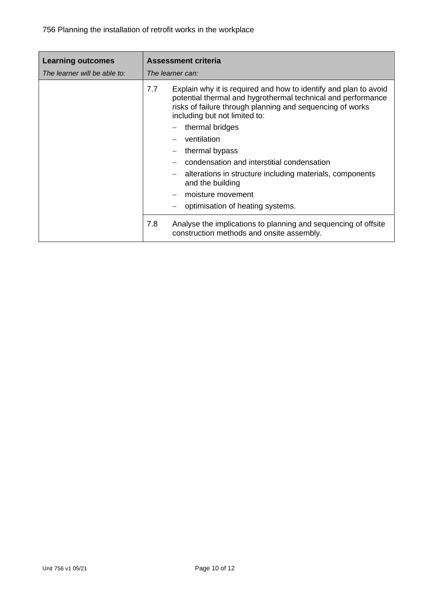| <b>Learning outcomes</b>     |     | <b>Assessment criteria</b>                                                                                                                                                                                                     |
|------------------------------|-----|--------------------------------------------------------------------------------------------------------------------------------------------------------------------------------------------------------------------------------|
| The learner will be able to: |     | The learner can:                                                                                                                                                                                                               |
|                              | 7.7 | Explain why it is required and how to identify and plan to avoid<br>potential thermal and hygrothermal technical and performance<br>risks of failure through planning and sequencing of works<br>including but not limited to: |
|                              |     | thermal bridges                                                                                                                                                                                                                |
|                              |     | ventilation                                                                                                                                                                                                                    |
|                              |     | thermal bypass                                                                                                                                                                                                                 |
|                              |     | condensation and interstitial condensation                                                                                                                                                                                     |
|                              |     | alterations in structure including materials, components<br>and the building                                                                                                                                                   |
|                              |     | moisture movement                                                                                                                                                                                                              |
|                              |     | optimisation of heating systems.                                                                                                                                                                                               |
|                              | 7.8 | Analyse the implications to planning and sequencing of offsite<br>construction methods and onsite assembly.                                                                                                                    |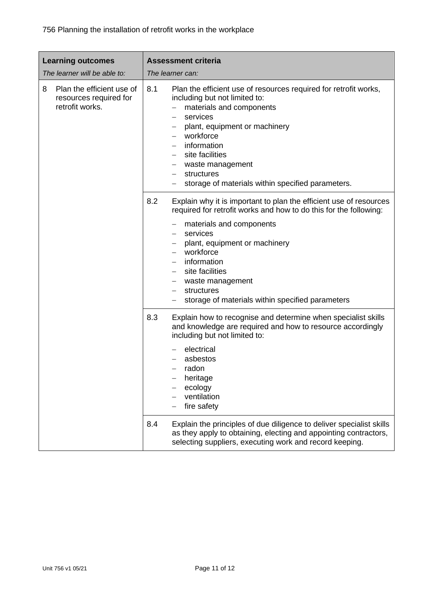| <b>Learning outcomes</b>                                                    | <b>Assessment criteria</b>                                                                                                                                                                                                                                                                                                                                   |
|-----------------------------------------------------------------------------|--------------------------------------------------------------------------------------------------------------------------------------------------------------------------------------------------------------------------------------------------------------------------------------------------------------------------------------------------------------|
| The learner will be able to:                                                | The learner can:                                                                                                                                                                                                                                                                                                                                             |
| Plan the efficient use of<br>8<br>resources required for<br>retrofit works. | 8.1<br>Plan the efficient use of resources required for retrofit works,<br>including but not limited to:<br>materials and components<br>services<br>plant, equipment or machinery<br>workforce<br>information<br>site facilities<br>waste management<br>structures<br>storage of materials within specified parameters.                                      |
|                                                                             | 8.2<br>Explain why it is important to plan the efficient use of resources<br>required for retrofit works and how to do this for the following:<br>materials and components<br>services<br>plant, equipment or machinery<br>workforce<br>information<br>site facilities<br>waste management<br>structures<br>storage of materials within specified parameters |
|                                                                             | 8.3<br>Explain how to recognise and determine when specialist skills<br>and knowledge are required and how to resource accordingly<br>including but not limited to:<br>electrical<br>asbestos<br>radon<br>heritage<br>ecology<br>ventilation<br>fire safety                                                                                                  |
|                                                                             | Explain the principles of due diligence to deliver specialist skills<br>8.4<br>as they apply to obtaining, electing and appointing contractors,<br>selecting suppliers, executing work and record keeping.                                                                                                                                                   |